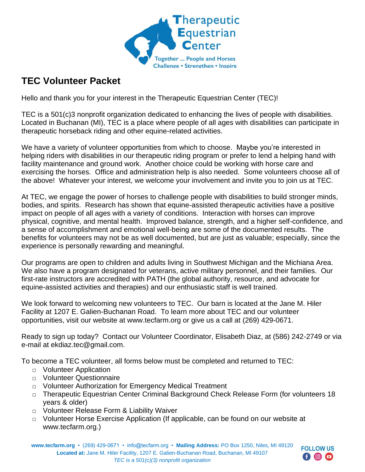

# **TEC Volunteer Packet**

Hello and thank you for your interest in the Therapeutic Equestrian Center (TEC)!

TEC is a 501(c)3 nonprofit organization dedicated to enhancing the lives of people with disabilities. Located in Buchanan (MI), TEC is a place where people of all ages with disabilities can participate in therapeutic horseback riding and other equine-related activities.

We have a variety of volunteer opportunities from which to choose. Maybe you're interested in helping riders with disabilities in our therapeutic riding program or prefer to lend a helping hand with facility maintenance and ground work. Another choice could be working with horse care and exercising the horses. Office and administration help is also needed. Some volunteers choose all of the above! Whatever your interest, we welcome your involvement and invite you to join us at TEC.

At TEC, we engage the power of horses to challenge people with disabilities to build stronger minds, bodies, and spirits. Research has shown that equine-assisted therapeutic activities have a positive impact on people of all ages with a variety of conditions. Interaction with horses can improve physical, cognitive, and mental health. Improved balance, strength, and a higher self-confidence, and a sense of accomplishment and emotional well-being are some of the documented results. The benefits for volunteers may not be as well documented, but are just as valuable; especially, since the experience is personally rewarding and meaningful.

Our programs are open to children and adults living in Southwest Michigan and the Michiana Area. We also have a program designated for veterans, active military personnel, and their families. Our first-rate instructors are accredited with PATH (the global authority, resource, and advocate for equine-assisted activities and therapies) and our enthusiastic staff is well trained.

We look forward to welcoming new volunteers to TEC. Our barn is located at the Jane M. Hiler Facility at 1207 E. Galien-Buchanan Road. To learn more about TEC and our volunteer opportunities, visit our website at www.tecfarm.org or give us a call at (269) 429-0671.

Ready to sign up today? Contact our Volunteer Coordinator, Elisabeth Diaz, at (586) 242-2749 or via e-mail at ekdiaz.tec@gmail.com.

To become a TEC volunteer, all forms below must be completed and returned to TEC:

- □ Volunteer Application
- □ Volunteer Questionnaire
- □ Volunteer Authorization for Emergency Medical Treatment
- □ Therapeutic Equestrian Center Criminal Background Check Release Form (for volunteers 18 years & older)
- □ Volunteer Release Form & Liability Waiver
- □ Volunteer Horse Exercise Application (If applicable, can be found on our website at www.tecfarm.org.)

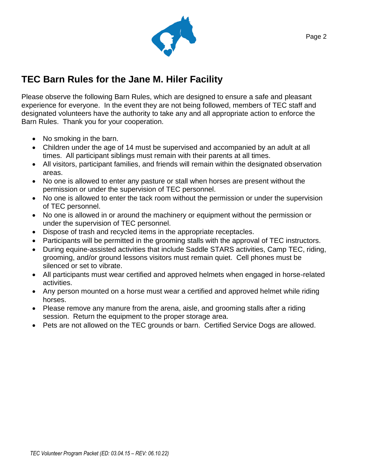

# **TEC Barn Rules for the Jane M. Hiler Facility**

Please observe the following Barn Rules, which are designed to ensure a safe and pleasant experience for everyone. In the event they are not being followed, members of TEC staff and designated volunteers have the authority to take any and all appropriate action to enforce the Barn Rules. Thank you for your cooperation.

- No smoking in the barn.
- Children under the age of 14 must be supervised and accompanied by an adult at all times. All participant siblings must remain with their parents at all times.
- All visitors, participant families, and friends will remain within the designated observation areas.
- No one is allowed to enter any pasture or stall when horses are present without the permission or under the supervision of TEC personnel.
- No one is allowed to enter the tack room without the permission or under the supervision of TEC personnel.
- No one is allowed in or around the machinery or equipment without the permission or under the supervision of TEC personnel.
- Dispose of trash and recycled items in the appropriate receptacles.
- Participants will be permitted in the grooming stalls with the approval of TEC instructors.
- During equine-assisted activities that include Saddle STARS activities, Camp TEC, riding, grooming, and/or ground lessons visitors must remain quiet. Cell phones must be silenced or set to vibrate.
- All participants must wear certified and approved helmets when engaged in horse-related activities.
- Any person mounted on a horse must wear a certified and approved helmet while riding horses.
- Please remove any manure from the arena, aisle, and grooming stalls after a riding session. Return the equipment to the proper storage area.
- Pets are not allowed on the TEC grounds or barn. Certified Service Dogs are allowed.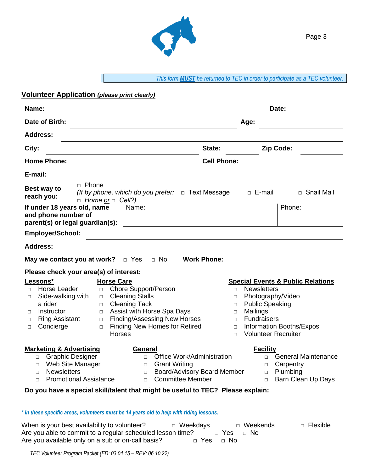

## **Volunteer Application** *(please print clearly)*

| Date of Birth:<br>Age:<br><b>Address:</b><br>Zip Code:<br>City:<br>State:<br><b>Home Phone:</b><br><b>Cell Phone:</b><br>E-mail:<br>□ Phone<br>Best way to<br>(If by phone, which do you prefer: $\Box$ Text Message<br>$\Box$ E-mail<br>□ Snail Mail<br>reach you:<br>$\Box$ Home or $\Box$ Cell?)<br>If under 18 years old, name<br>Phone:<br>Name:<br>and phone number of<br>parent(s) or legal guardian(s):<br><b>Employer/School:</b><br><b>Address:</b><br><b>Work Phone:</b><br>$\Box$ No<br>May we contact you at work?<br>$\Box$ Yes<br>Please check your area(s) of interest:<br><b>Horse Care</b><br>Lessons*<br><b>Special Events &amp; Public Relations</b><br>Horse Leader<br><b>Chore Support/Person</b><br><b>Newsletters</b><br>$\Box$<br>$\Box$<br>П<br><b>Cleaning Stalls</b><br>Photography/Video<br>Side-walking with<br>$\Box$<br>П<br>$\Box$<br>a rider<br><b>Cleaning Tack</b><br><b>Public Speaking</b><br>$\Box$<br>$\Box$<br>Assist with Horse Spa Days<br>Mailings<br>Instructor<br>$\Box$<br>$\Box$<br>п<br><b>Finding/Assessing New Horses</b><br>Fundraisers<br><b>Ring Assistant</b><br>$\Box$<br>$\Box$<br>□<br><b>Finding New Homes for Retired</b><br>Information Booths/Expos<br>Concierge<br>$\Box$<br>□<br>$\Box$<br><b>Horses</b><br><b>Volunteer Recruiter</b><br>$\Box$<br><b>Marketing &amp; Advertising</b><br><b>Facility</b><br>General<br><b>Graphic Designer</b><br>Office Work/Administration<br><b>General Maintenance</b><br>$\Box$<br>П<br>П<br>Web Site Manager<br><b>Grant Writing</b><br>Carpentry<br>$\Box$<br>$\Box$<br>□<br><b>Newsletters</b><br><b>Board/Advisory Board Member</b><br>Plumbing<br>$\Box$<br>$\Box$<br>$\Box$<br><b>Committee Member</b><br><b>Promotional Assistance</b><br>Barn Clean Up Days<br>П<br>П.<br>$\Box$<br>Do you have a special skill/talent that might be useful to TEC? Please explain:<br>* In these specific areas, volunteers must be 14 years old to help with riding lessons. | Name: | Date: |
|------------------------------------------------------------------------------------------------------------------------------------------------------------------------------------------------------------------------------------------------------------------------------------------------------------------------------------------------------------------------------------------------------------------------------------------------------------------------------------------------------------------------------------------------------------------------------------------------------------------------------------------------------------------------------------------------------------------------------------------------------------------------------------------------------------------------------------------------------------------------------------------------------------------------------------------------------------------------------------------------------------------------------------------------------------------------------------------------------------------------------------------------------------------------------------------------------------------------------------------------------------------------------------------------------------------------------------------------------------------------------------------------------------------------------------------------------------------------------------------------------------------------------------------------------------------------------------------------------------------------------------------------------------------------------------------------------------------------------------------------------------------------------------------------------------------------------------------------------------------------------------------------------------------------------------------------------------------------------|-------|-------|
|                                                                                                                                                                                                                                                                                                                                                                                                                                                                                                                                                                                                                                                                                                                                                                                                                                                                                                                                                                                                                                                                                                                                                                                                                                                                                                                                                                                                                                                                                                                                                                                                                                                                                                                                                                                                                                                                                                                                                                              |       |       |
|                                                                                                                                                                                                                                                                                                                                                                                                                                                                                                                                                                                                                                                                                                                                                                                                                                                                                                                                                                                                                                                                                                                                                                                                                                                                                                                                                                                                                                                                                                                                                                                                                                                                                                                                                                                                                                                                                                                                                                              |       |       |
|                                                                                                                                                                                                                                                                                                                                                                                                                                                                                                                                                                                                                                                                                                                                                                                                                                                                                                                                                                                                                                                                                                                                                                                                                                                                                                                                                                                                                                                                                                                                                                                                                                                                                                                                                                                                                                                                                                                                                                              |       |       |
|                                                                                                                                                                                                                                                                                                                                                                                                                                                                                                                                                                                                                                                                                                                                                                                                                                                                                                                                                                                                                                                                                                                                                                                                                                                                                                                                                                                                                                                                                                                                                                                                                                                                                                                                                                                                                                                                                                                                                                              |       |       |
|                                                                                                                                                                                                                                                                                                                                                                                                                                                                                                                                                                                                                                                                                                                                                                                                                                                                                                                                                                                                                                                                                                                                                                                                                                                                                                                                                                                                                                                                                                                                                                                                                                                                                                                                                                                                                                                                                                                                                                              |       |       |
|                                                                                                                                                                                                                                                                                                                                                                                                                                                                                                                                                                                                                                                                                                                                                                                                                                                                                                                                                                                                                                                                                                                                                                                                                                                                                                                                                                                                                                                                                                                                                                                                                                                                                                                                                                                                                                                                                                                                                                              |       |       |
|                                                                                                                                                                                                                                                                                                                                                                                                                                                                                                                                                                                                                                                                                                                                                                                                                                                                                                                                                                                                                                                                                                                                                                                                                                                                                                                                                                                                                                                                                                                                                                                                                                                                                                                                                                                                                                                                                                                                                                              |       |       |
|                                                                                                                                                                                                                                                                                                                                                                                                                                                                                                                                                                                                                                                                                                                                                                                                                                                                                                                                                                                                                                                                                                                                                                                                                                                                                                                                                                                                                                                                                                                                                                                                                                                                                                                                                                                                                                                                                                                                                                              |       |       |
|                                                                                                                                                                                                                                                                                                                                                                                                                                                                                                                                                                                                                                                                                                                                                                                                                                                                                                                                                                                                                                                                                                                                                                                                                                                                                                                                                                                                                                                                                                                                                                                                                                                                                                                                                                                                                                                                                                                                                                              |       |       |
|                                                                                                                                                                                                                                                                                                                                                                                                                                                                                                                                                                                                                                                                                                                                                                                                                                                                                                                                                                                                                                                                                                                                                                                                                                                                                                                                                                                                                                                                                                                                                                                                                                                                                                                                                                                                                                                                                                                                                                              |       |       |
|                                                                                                                                                                                                                                                                                                                                                                                                                                                                                                                                                                                                                                                                                                                                                                                                                                                                                                                                                                                                                                                                                                                                                                                                                                                                                                                                                                                                                                                                                                                                                                                                                                                                                                                                                                                                                                                                                                                                                                              |       |       |
|                                                                                                                                                                                                                                                                                                                                                                                                                                                                                                                                                                                                                                                                                                                                                                                                                                                                                                                                                                                                                                                                                                                                                                                                                                                                                                                                                                                                                                                                                                                                                                                                                                                                                                                                                                                                                                                                                                                                                                              |       |       |
|                                                                                                                                                                                                                                                                                                                                                                                                                                                                                                                                                                                                                                                                                                                                                                                                                                                                                                                                                                                                                                                                                                                                                                                                                                                                                                                                                                                                                                                                                                                                                                                                                                                                                                                                                                                                                                                                                                                                                                              |       |       |
|                                                                                                                                                                                                                                                                                                                                                                                                                                                                                                                                                                                                                                                                                                                                                                                                                                                                                                                                                                                                                                                                                                                                                                                                                                                                                                                                                                                                                                                                                                                                                                                                                                                                                                                                                                                                                                                                                                                                                                              |       |       |

When is your best availability to volunteer? □ Weekdays □ Weekends □ Flexible Are you able to commit to a regular scheduled lesson time?  $\Box$  Yes  $\Box$  No Are vou available only on a sub or on-call basis?  $\Box$  Yes  $\Box$  No Are you available only on a sub or on-call basis?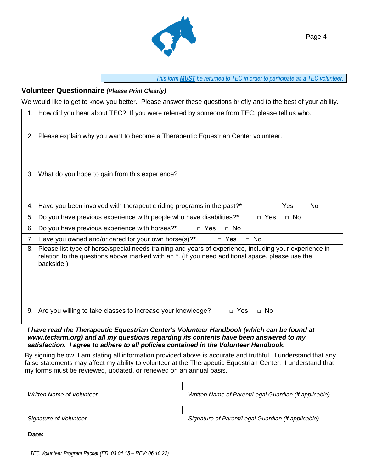

#### **Volunteer Questionnaire** *(Please Print Clearly)*

We would like to get to know you better. Please answer these questions briefly and to the best of your ability.

|    | 1. How did you hear about TEC? If you were referred by someone from TEC, please tell us who.                                                                                                                            |  |
|----|-------------------------------------------------------------------------------------------------------------------------------------------------------------------------------------------------------------------------|--|
| 2. | Please explain why you want to become a Therapeutic Equestrian Center volunteer.                                                                                                                                        |  |
| 3. | What do you hope to gain from this experience?                                                                                                                                                                          |  |
| 4. | Have you been involved with therapeutic riding programs in the past?*<br>Yes<br>$\Box$ No<br>$\Box$                                                                                                                     |  |
| 5. | $\Box$ No<br>Do you have previous experience with people who have disabilities?*<br>$\Box$ Yes                                                                                                                          |  |
| 6. | Do you have previous experience with horses?*<br>$\Box$ Yes<br>$\Box$ No                                                                                                                                                |  |
| 7. | Have you owned and/or cared for your own horse(s)?*<br>$\Box$ No<br>$\Box$ Yes                                                                                                                                          |  |
| 8. | Please list type of horse/special needs training and years of experience, including your experience in<br>relation to the questions above marked with an *. (If you need additional space, please use the<br>backside.) |  |
|    | 9. Are you willing to take classes to increase your knowledge?<br>n Yes<br>$\Box$ No                                                                                                                                    |  |
|    |                                                                                                                                                                                                                         |  |

*I have read the Therapeutic Equestrian Center's Volunteer Handbook (which can be found at www.tecfarm.org) and all my questions regarding its contents have been answered to my satisfaction. I agree to adhere to all policies contained in the Volunteer Handbook.*

By signing below, I am stating all information provided above is accurate and truthful. I understand that any false statements may affect my ability to volunteer at the Therapeutic Equestrian Center. I understand that my forms must be reviewed, updated, or renewed on an annual basis.

| Written Name of Volunteer | Written Name of Parent/Legal Guardian (if applicable) |  |  |
|---------------------------|-------------------------------------------------------|--|--|
|                           |                                                       |  |  |
|                           |                                                       |  |  |
| Signature of Volunteer    | Signature of Parent/Legal Guardian (if applicable)    |  |  |
|                           |                                                       |  |  |
| Date:                     |                                                       |  |  |
|                           |                                                       |  |  |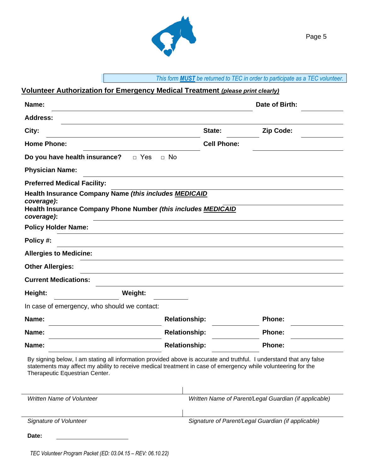

## **Volunteer Authorization for Emergency Medical Treatment** *(please print clearly)*

| Name:                                                                                                                                                                                                                                                                  |                                                    | Date of Birth:                                        |  |  |
|------------------------------------------------------------------------------------------------------------------------------------------------------------------------------------------------------------------------------------------------------------------------|----------------------------------------------------|-------------------------------------------------------|--|--|
| <b>Address:</b>                                                                                                                                                                                                                                                        |                                                    |                                                       |  |  |
| City:                                                                                                                                                                                                                                                                  | State:                                             | Zip Code:                                             |  |  |
| <b>Home Phone:</b>                                                                                                                                                                                                                                                     | <b>Cell Phone:</b>                                 |                                                       |  |  |
| Do you have health insurance?<br>$\Box$ Yes                                                                                                                                                                                                                            | $\Box$ No                                          |                                                       |  |  |
| <b>Physician Name:</b>                                                                                                                                                                                                                                                 |                                                    |                                                       |  |  |
| <b>Preferred Medical Facility:</b>                                                                                                                                                                                                                                     |                                                    |                                                       |  |  |
| Health Insurance Company Name (this includes MEDICAID<br>coverage):<br>Health Insurance Company Phone Number (this includes MEDICAID<br>coverage):                                                                                                                     |                                                    |                                                       |  |  |
| <b>Policy Holder Name:</b>                                                                                                                                                                                                                                             |                                                    |                                                       |  |  |
| Policy #:                                                                                                                                                                                                                                                              |                                                    |                                                       |  |  |
| <b>Allergies to Medicine:</b>                                                                                                                                                                                                                                          |                                                    |                                                       |  |  |
| <b>Other Allergies:</b>                                                                                                                                                                                                                                                |                                                    |                                                       |  |  |
| <b>Current Medications:</b>                                                                                                                                                                                                                                            |                                                    |                                                       |  |  |
| Height:<br>Weight:                                                                                                                                                                                                                                                     |                                                    |                                                       |  |  |
| In case of emergency, who should we contact:                                                                                                                                                                                                                           |                                                    |                                                       |  |  |
| Name:                                                                                                                                                                                                                                                                  | <b>Relationship:</b>                               | Phone:                                                |  |  |
| Name:                                                                                                                                                                                                                                                                  | <b>Relationship:</b>                               | <b>Phone:</b>                                         |  |  |
| Name:                                                                                                                                                                                                                                                                  | <b>Relationship:</b>                               | Phone:                                                |  |  |
| By signing below, I am stating all information provided above is accurate and truthful. I understand that any false<br>statements may affect my ability to receive medical treatment in case of emergency while volunteering for the<br>Therapeutic Equestrian Center. |                                                    |                                                       |  |  |
| Written Name of Volunteer                                                                                                                                                                                                                                              |                                                    | Written Name of Parent/Legal Guardian (if applicable) |  |  |
| Signature of Volunteer                                                                                                                                                                                                                                                 | Signature of Parent/Legal Guardian (if applicable) |                                                       |  |  |
| Date:                                                                                                                                                                                                                                                                  |                                                    |                                                       |  |  |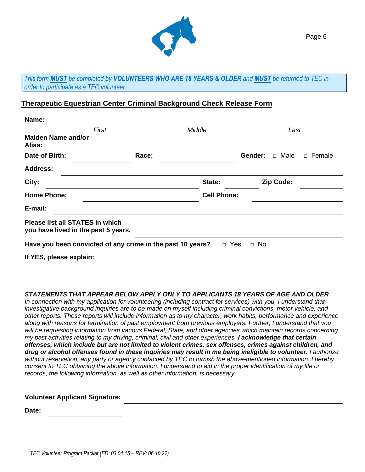

*This form MUST be completed by VOLUNTEERS WHO ARE 18 YEARS & OLDER and MUST be returned to TEC in order to participate as a TEC volunteer.*

### **Therapeutic Equestrian Center Criminal Background Check Release Form**

| Name:                                                                         |                                                            |                    |                        |          |
|-------------------------------------------------------------------------------|------------------------------------------------------------|--------------------|------------------------|----------|
| First                                                                         |                                                            | Middle             | Last                   |          |
| <b>Maiden Name and/or</b><br>Alias:                                           |                                                            |                    |                        |          |
| Date of Birth:                                                                | Race:                                                      |                    | Gender:<br>$\Box$ Male | □ Female |
| <b>Address:</b>                                                               |                                                            |                    |                        |          |
| City:                                                                         |                                                            | State:             | Zip Code:              |          |
| <b>Home Phone:</b>                                                            |                                                            | <b>Cell Phone:</b> |                        |          |
| E-mail:                                                                       |                                                            |                    |                        |          |
| <b>Please list all STATES in which</b><br>you have lived in the past 5 years. |                                                            |                    |                        |          |
|                                                                               | Have you been convicted of any crime in the past 10 years? |                    | □ Yes<br>$\Box$ No     |          |
| If YES, please explain:                                                       |                                                            |                    |                        |          |
|                                                                               |                                                            |                    |                        |          |

#### *STATEMENTS THAT APPEAR BELOW APPLY ONLY TO APPLICANTS 18 YEARS OF AGE AND OLDER*

*In connection with my application for volunteering (including contract for services) with you, I understand that investigative background inquiries are to be made on myself including criminal convictions, motor vehicle, and other reports. These reports will include information as to my character, work habits, performance and experience along with reasons for termination of past employment from previous employers. Further, I understand that you will be requesting information from various Federal, State, and other agencies which maintain records concerning my past activities relating to my driving, criminal, civil and other experiences. I acknowledge that certain offenses, which include but are not limited to violent crimes, sex offenses, crimes against children, and drug or alcohol offenses found in these inquiries may result in me being ineligible to volunteer. I authorize without reservation, any party or agency contacted by TEC to furnish the above-mentioned information. I hereby consent to TEC obtaining the above information. I understand to aid in the proper identification of my file or records, the following information, as well as other information, is necessary.*

#### **Volunteer Applicant Signature:**

**Date:**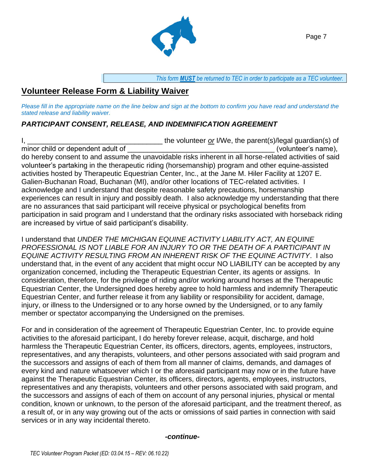

## **Volunteer Release Form & Liability Waiver**

*Please fill in the appropriate name on the line below and sign at the bottom to confirm you have read and understand the stated release and liability waiver.*

## *PARTICIPANT CONSENT, RELEASE, AND INDEMNIFICATION AGREEMENT*

I, \_\_\_\_\_\_\_\_\_\_\_\_\_\_\_\_\_\_\_\_\_\_\_\_\_\_\_\_\_\_\_\_\_\_ the volunteer *or* I/We, the parent(s)/legal guardian(s) of minor child or dependent adult of  $\Box$ do hereby consent to and assume the unavoidable risks inherent in all horse-related activities of said volunteer's partaking in the therapeutic riding (horsemanship) program and other equine-assisted activities hosted by Therapeutic Equestrian Center, Inc., at the Jane M. Hiler Facility at 1207 E. Galien-Buchanan Road, Buchanan (MI), and/or other locations of TEC-related activities. I acknowledge and I understand that despite reasonable safety precautions, horsemanship experiences can result in injury and possibly death. I also acknowledge my understanding that there are no assurances that said participant will receive physical or psychological benefits from participation in said program and I understand that the ordinary risks associated with horseback riding are increased by virtue of said participant's disability.

I understand that *UNDER THE MICHIGAN EQUINE ACTIVITY LIABILITY ACT, AN EQUINE PROFESSIONAL IS NOT LIABLE FOR AN INJURY TO OR THE DEATH OF A PARTICIPANT IN EQUINE ACTIVITY RESULTING FROM AN INHERENT RISK OF THE EQUINE ACTIVITY*. I also understand that, in the event of any accident that might occur NO LIABILITY can be accepted by any organization concerned, including the Therapeutic Equestrian Center, its agents or assigns. In consideration, therefore, for the privilege of riding and/or working around horses at the Therapeutic Equestrian Center, the Undersigned does hereby agree to hold harmless and indemnify Therapeutic Equestrian Center, and further release it from any liability or responsibility for accident, damage, injury, or illness to the Undersigned or to any horse owned by the Undersigned, or to any family member or spectator accompanying the Undersigned on the premises.

For and in consideration of the agreement of Therapeutic Equestrian Center, Inc. to provide equine activities to the aforesaid participant, I do hereby forever release, acquit, discharge, and hold harmless the Therapeutic Equestrian Center, its officers, directors, agents, employees, instructors, representatives, and any therapists, volunteers, and other persons associated with said program and the successors and assigns of each of them from all manner of claims, demands, and damages of every kind and nature whatsoever which I or the aforesaid participant may now or in the future have against the Therapeutic Equestrian Center, its officers, directors, agents, employees, instructors, representatives and any therapists, volunteers and other persons associated with said program, and the successors and assigns of each of them on account of any personal injuries, physical or mental condition, known or unknown, to the person of the aforesaid participant, and the treatment thereof, as a result of, or in any way growing out of the acts or omissions of said parties in connection with said services or in any way incidental thereto.

#### *-continue-*